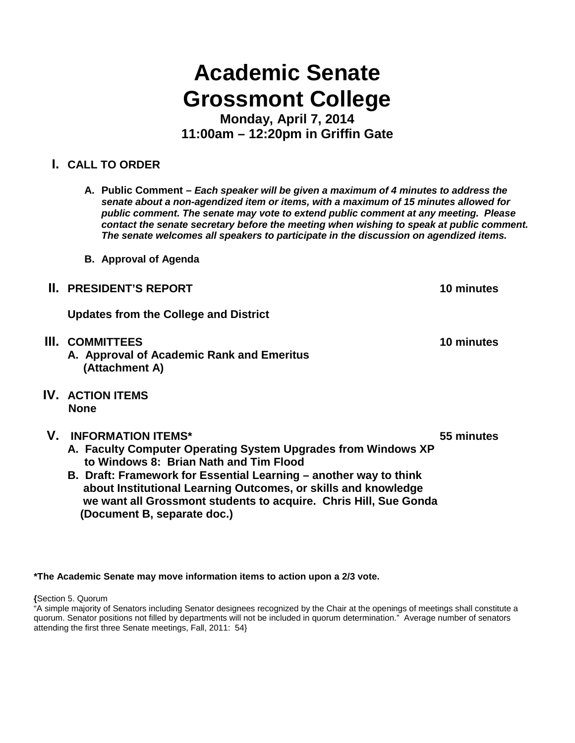# **Academic Senate Grossmont College**

**Monday, April 7, 2014 11:00am – 12:20pm in Griffin Gate**

## **I. CALL TO ORDER**

- **A. Public Comment –** *Each speaker will be given a maximum of 4 minutes to address the senate about a non-agendized item or items, with a maximum of 15 minutes allowed for public comment. The senate may vote to extend public comment at any meeting. Please contact the senate secretary before the meeting when wishing to speak at public comment. The senate welcomes all speakers to participate in the discussion on agendized items.*
- **B. Approval of Agenda**
- **II. PRESIDENT'S REPORT 10 minutes**

**Updates from the College and District**

- **III. COMMITTEES 10 minutes A. Approval of Academic Rank and Emeritus (Attachment A)**
- **IV. ACTION ITEMS None**
- **V. INFORMATION ITEMS\* 55 minutes**
	- **A. Faculty Computer Operating System Upgrades from Windows XP to Windows 8: Brian Nath and Tim Flood**
	- **B. Draft: Framework for Essential Learning – another way to think about Institutional Learning Outcomes, or skills and knowledge we want all Grossmont students to acquire. Chris Hill, Sue Gonda (Document B, separate doc.)**

**\*The Academic Senate may move information items to action upon a 2/3 vote.**

**{**Section 5. Quorum

<sup>&</sup>quot;A simple majority of Senators including Senator designees recognized by the Chair at the openings of meetings shall constitute a quorum. Senator positions not filled by departments will not be included in quorum determination." Average number of senators attending the first three Senate meetings, Fall, 2011: 54}